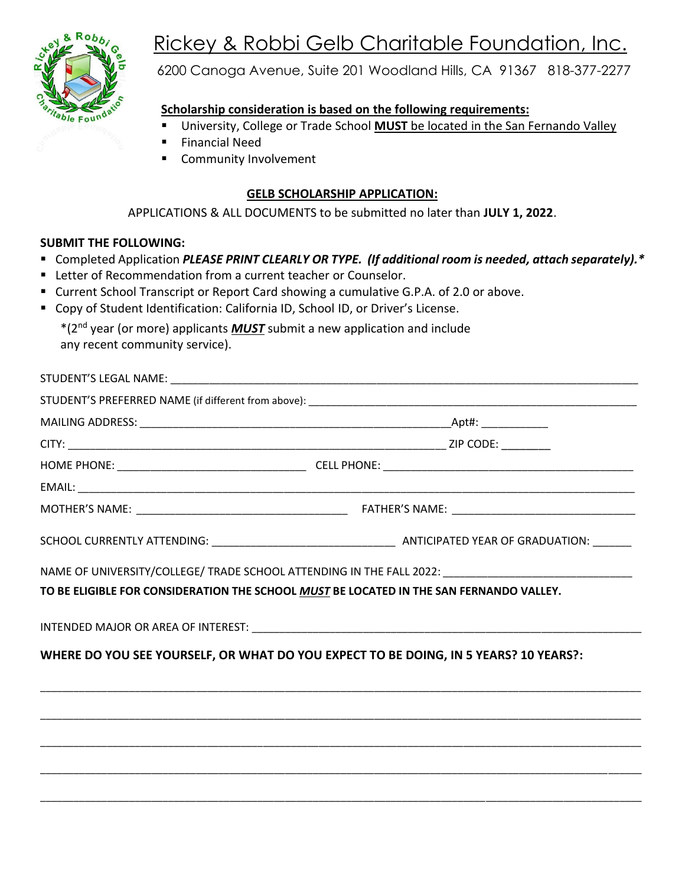

# Rickey & Robbi Gelb Charitable Foundation, Inc.

6200 Canoga Avenue, Suite 201 Woodland Hills, CA 91367 818-377-2277

## **Scholarship consideration is based on the following requirements:**

- University, College or Trade School **MUST** be located in the San Fernando Valley
- **Financial Need**
- Community Involvement

#### **GELB SCHOLARSHIP APPLICATION:**

APPLICATIONS & ALL DOCUMENTS to be submitted no later than **JULY 1, 2022**.

#### **SUBMIT THE FOLLOWING:**

- Completed Application *PLEASE PRINT CLEARLY OR TYPE. (If additional room is needed, attach separately).\**
- **EXECTER 15 Increde** Letter of Recommendation from a current teacher or Counselor.
- Current School Transcript or Report Card showing a cumulative G.P.A. of 2.0 or above.
- Copy of Student Identification: California ID, School ID, or Driver's License.

\*(2nd year (or more) applicants *MUST* submit a new application and include any recent community service).

| NAME OF UNIVERSITY/COLLEGE/ TRADE SCHOOL ATTENDING IN THE FALL 2022: _______________________________<br>TO BE ELIGIBLE FOR CONSIDERATION THE SCHOOL MUST BE LOCATED IN THE SAN FERNANDO VALLEY. |
|-------------------------------------------------------------------------------------------------------------------------------------------------------------------------------------------------|
| WHERE DO YOU SEE YOURSELF, OR WHAT DO YOU EXPECT TO BE DOING, IN 5 YEARS? 10 YEARS?:                                                                                                            |
|                                                                                                                                                                                                 |
|                                                                                                                                                                                                 |